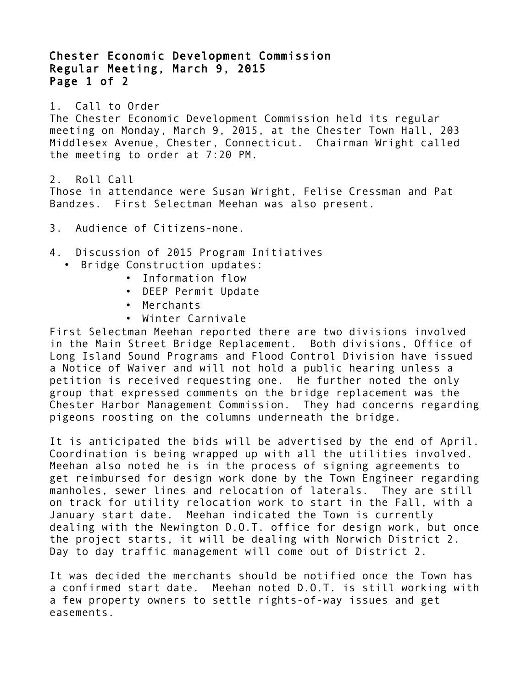Chester Economic Development Commission Regular Meeting, March 9, 2015 Page 1 of 2

1. Call to Order

The Chester Economic Development Commission held its regular meeting on Monday, March 9, 2015, at the Chester Town Hall, 203 Middlesex Avenue, Chester, Connecticut. Chairman Wright called the meeting to order at 7:20 PM.

2. Roll Call Those in attendance were Susan Wright, Felise Cressman and Pat Bandzes. First Selectman Meehan was also present.

3. Audience of Citizens-none.

## 4. Discussion of 2015 Program Initiatives

- Bridge Construction updates:
	- Information flow
	- DEEP Permit Update
	- Merchants
	- Winter Carnivale

First Selectman Meehan reported there are two divisions involved in the Main Street Bridge Replacement. Both divisions, Office of Long Island Sound Programs and Flood Control Division have issued a Notice of Waiver and will not hold a public hearing unless a petition is received requesting one. He further noted the only group that expressed comments on the bridge replacement was the Chester Harbor Management Commission. They had concerns regarding pigeons roosting on the columns underneath the bridge.

It is anticipated the bids will be advertised by the end of April. Coordination is being wrapped up with all the utilities involved. Meehan also noted he is in the process of signing agreements to get reimbursed for design work done by the Town Engineer regarding manholes, sewer lines and relocation of laterals. They are still on track for utility relocation work to start in the Fall, with a January start date. Meehan indicated the Town is currently dealing with the Newington D.O.T. office for design work, but once the project starts, it will be dealing with Norwich District 2. Day to day traffic management will come out of District 2.

It was decided the merchants should be notified once the Town has a confirmed start date. Meehan noted D.O.T. is still working with a few property owners to settle rights-of-way issues and get easements.